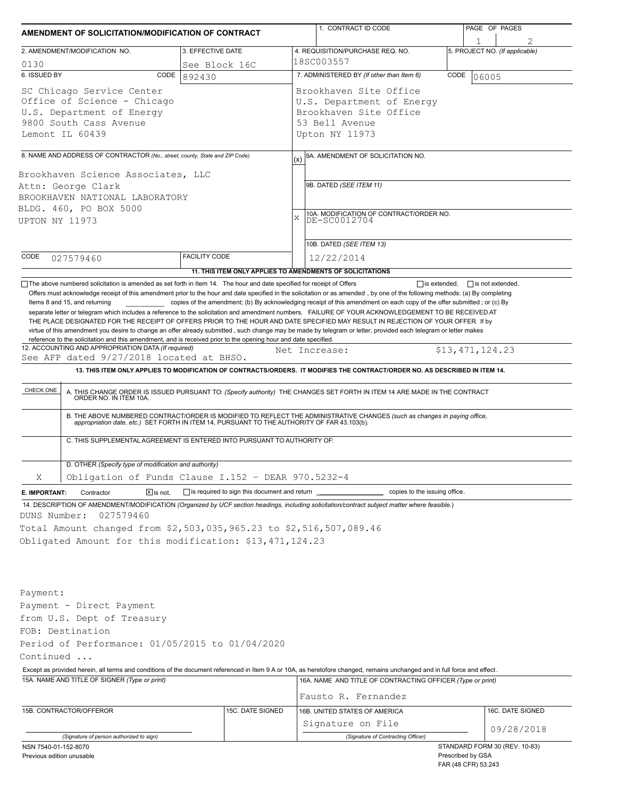| AMENDMENT OF SOLICITATION/MODIFICATION OF CONTRACT                                                                                                                                                                                                                                                                                                                                                                                                                                                                                                                                                                                                                                                                                                                                 |                                                                                                                                                                                |                                                           |  | 1. CONTRACT ID CODE                                                                                                                                                                                                                     |      | PAGE OF PAGES<br>1                       |  |  |  |
|------------------------------------------------------------------------------------------------------------------------------------------------------------------------------------------------------------------------------------------------------------------------------------------------------------------------------------------------------------------------------------------------------------------------------------------------------------------------------------------------------------------------------------------------------------------------------------------------------------------------------------------------------------------------------------------------------------------------------------------------------------------------------------|--------------------------------------------------------------------------------------------------------------------------------------------------------------------------------|-----------------------------------------------------------|--|-----------------------------------------------------------------------------------------------------------------------------------------------------------------------------------------------------------------------------------------|------|------------------------------------------|--|--|--|
| 3. EFFECTIVE DATE<br>2. AMENDMENT/MODIFICATION NO.                                                                                                                                                                                                                                                                                                                                                                                                                                                                                                                                                                                                                                                                                                                                 |                                                                                                                                                                                |                                                           |  | 4. REQUISITION/PURCHASE REQ. NO.                                                                                                                                                                                                        |      | 5. PROJECT NO. (If applicable)           |  |  |  |
| 0130<br>See Block 16C                                                                                                                                                                                                                                                                                                                                                                                                                                                                                                                                                                                                                                                                                                                                                              |                                                                                                                                                                                |                                                           |  | 18SC003557                                                                                                                                                                                                                              |      |                                          |  |  |  |
| 6. ISSUED BY                                                                                                                                                                                                                                                                                                                                                                                                                                                                                                                                                                                                                                                                                                                                                                       | CODE                                                                                                                                                                           | 892430                                                    |  | 7. ADMINISTERED BY (If other than Item 6)                                                                                                                                                                                               | CODE | 06005                                    |  |  |  |
| SC Chicago Service Center<br>Office of Science - Chicago<br>U.S. Department of Energy<br>9800 South Cass Avenue<br>Lemont IL 60439                                                                                                                                                                                                                                                                                                                                                                                                                                                                                                                                                                                                                                                 |                                                                                                                                                                                |                                                           |  | Brookhaven Site Office<br>U.S. Department of Energy<br>Brookhaven Site Office<br>53 Bell Avenue<br>Upton NY 11973                                                                                                                       |      |                                          |  |  |  |
|                                                                                                                                                                                                                                                                                                                                                                                                                                                                                                                                                                                                                                                                                                                                                                                    | 8. NAME AND ADDRESS OF CONTRACTOR (No., street, county, State and ZIP Code)                                                                                                    |                                                           |  | 9A. AMENDMENT OF SOLICITATION NO.                                                                                                                                                                                                       |      |                                          |  |  |  |
| Brookhaven Science Associates, LLC<br>Attn: George Clark<br>BROOKHAVEN NATIONAL LABORATORY<br>BLDG. 460, PO BOX 5000<br>UPTON NY 11973                                                                                                                                                                                                                                                                                                                                                                                                                                                                                                                                                                                                                                             |                                                                                                                                                                                |                                                           |  | 9B. DATED (SEE ITEM 11)<br>10A. MODIFICATION OF CONTRACT/ORDER NO.<br>$\mathbf x$<br>DE-SC0012704                                                                                                                                       |      |                                          |  |  |  |
| CODE                                                                                                                                                                                                                                                                                                                                                                                                                                                                                                                                                                                                                                                                                                                                                                               |                                                                                                                                                                                | <b>FACILITY CODE</b>                                      |  | 10B. DATED (SEE ITEM 13)<br>12/22/2014                                                                                                                                                                                                  |      |                                          |  |  |  |
|                                                                                                                                                                                                                                                                                                                                                                                                                                                                                                                                                                                                                                                                                                                                                                                    | 027579460                                                                                                                                                                      | 11. THIS ITEM ONLY APPLIES TO AMENDMENTS OF SOLICITATIONS |  |                                                                                                                                                                                                                                         |      |                                          |  |  |  |
| reference to the solicitation and this amendment, and is received prior to the opening hour and date specified.<br>12. ACCOUNTING AND APPROPRIATION DATA (If required)<br>\$13,471,124.23<br>Net Increase:<br>See AFP dated 9/27/2018 located at BHSO.<br>13. THIS ITEM ONLY APPLIES TO MODIFICATION OF CONTRACTS/ORDERS. IT MODIFIES THE CONTRACT/ORDER NO. AS DESCRIBED IN ITEM 14.<br>CHECK ONE<br>A. THIS CHANGE ORDER IS ISSUED PURSUANT TO: (Specify authority) THE CHANGES SET FORTH IN ITEM 14 ARE MADE IN THE CONTRACT ORDER NO. IN ITEM 10A.<br>B. THE ABOVE NUMBERED CONTRACT/ORDER IS MODIFIED TO REFLECT THE ADMINISTRATIVE CHANGES (such as changes in paying office,<br>appropriation date, etc.) SET FORTH IN ITEM 14, PURSUANT TO THE AUTHORITY OF FAR 43.103(b). |                                                                                                                                                                                |                                                           |  |                                                                                                                                                                                                                                         |      |                                          |  |  |  |
|                                                                                                                                                                                                                                                                                                                                                                                                                                                                                                                                                                                                                                                                                                                                                                                    | C. THIS SUPPLEMENTAL AGREEMENT IS ENTERED INTO PURSUANT TO AUTHORITY OF:<br>D. OTHER (Specify type of modification and authority)                                              |                                                           |  |                                                                                                                                                                                                                                         |      |                                          |  |  |  |
| Χ                                                                                                                                                                                                                                                                                                                                                                                                                                                                                                                                                                                                                                                                                                                                                                                  | Obligation of Funds Clause I.152 - DEAR 970.5232-4                                                                                                                             |                                                           |  |                                                                                                                                                                                                                                         |      |                                          |  |  |  |
| E. IMPORTANT:                                                                                                                                                                                                                                                                                                                                                                                                                                                                                                                                                                                                                                                                                                                                                                      | $\boxed{\mathsf{x}}$ is not.<br>Contractor                                                                                                                                     | is required to sign this document and return              |  | copies to the issuing office.                                                                                                                                                                                                           |      |                                          |  |  |  |
| DUNS Number:                                                                                                                                                                                                                                                                                                                                                                                                                                                                                                                                                                                                                                                                                                                                                                       | 027579460<br>Total Amount changed from \$2,503,035,965.23 to \$2,516,507,089.46<br>Obligated Amount for this modification: \$13,471,124.23                                     |                                                           |  | 14. DESCRIPTION OF AMENDMENT/MODIFICATION (Organized by UCF section headings, including solicitation/contract subject matter where feasible.)                                                                                           |      |                                          |  |  |  |
| Payment:<br>Continued                                                                                                                                                                                                                                                                                                                                                                                                                                                                                                                                                                                                                                                                                                                                                              | Payment - Direct Payment<br>from U.S. Dept of Treasury<br>FOB: Destination<br>Period of Performance: 01/05/2015 to 01/04/2020<br>15A. NAME AND TITLE OF SIGNER (Type or print) |                                                           |  | Except as provided herein, all terms and conditions of the document referenced in Item 9 A or 10A, as heretofore changed, remains unchanged and in full force and effect.<br>16A. NAME AND TITLE OF CONTRACTING OFFICER (Type or print) |      |                                          |  |  |  |
|                                                                                                                                                                                                                                                                                                                                                                                                                                                                                                                                                                                                                                                                                                                                                                                    |                                                                                                                                                                                |                                                           |  | Fausto R. Fernandez                                                                                                                                                                                                                     |      |                                          |  |  |  |
|                                                                                                                                                                                                                                                                                                                                                                                                                                                                                                                                                                                                                                                                                                                                                                                    | 15B. CONTRACTOR/OFFEROR                                                                                                                                                        | 15C. DATE SIGNED                                          |  | 16B. UNITED STATES OF AMERICA<br>Signature on File                                                                                                                                                                                      |      | 16C. DATE SIGNED                         |  |  |  |
|                                                                                                                                                                                                                                                                                                                                                                                                                                                                                                                                                                                                                                                                                                                                                                                    | (Signature of person authorized to sign)                                                                                                                                       |                                                           |  | (Signature of Contracting Officer)                                                                                                                                                                                                      |      | 09/28/2018                               |  |  |  |
| NSN 7540-01-152-8070                                                                                                                                                                                                                                                                                                                                                                                                                                                                                                                                                                                                                                                                                                                                                               |                                                                                                                                                                                |                                                           |  |                                                                                                                                                                                                                                         |      | STANDARD FORM 30 (REV. 10-83)            |  |  |  |
| Previous edition unusable                                                                                                                                                                                                                                                                                                                                                                                                                                                                                                                                                                                                                                                                                                                                                          |                                                                                                                                                                                |                                                           |  |                                                                                                                                                                                                                                         |      | Prescribed by GSA<br>FAR (48 CFR) 53.243 |  |  |  |